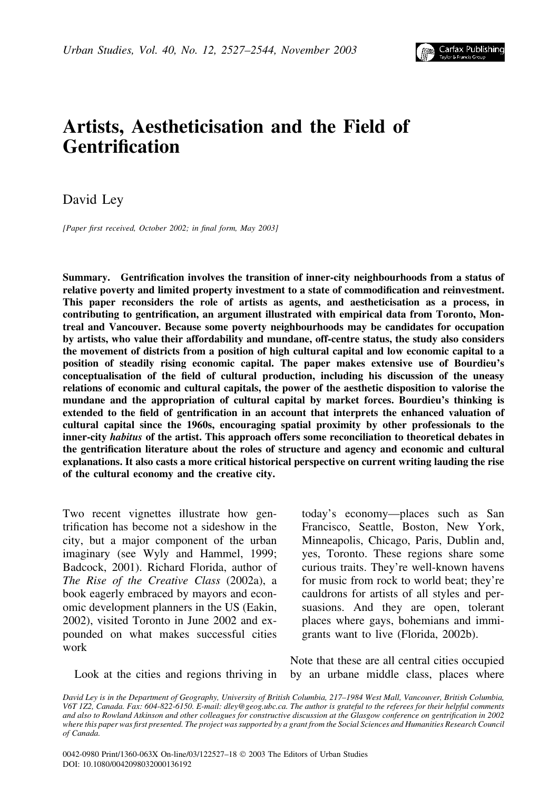

# **Artists, Aestheticisation and the Field of Gentrification**

David Ley

*[Paper first received, October 2002; in final form, May 2003]*

**Summary. Gentrification involves the transition of inner-city neighbourhoods from a status of relative poverty and limited property investment to a state of commodification and reinvestment. This paper reconsiders the role of artists as agents, and aestheticisation as a process, in contributing to gentrification, an argument illustrated with empirical data from Toronto, Montreal and Vancouver. Because some poverty neighbourhoods may be candidates for occupation by artists, who value their affordability and mundane, off-centre status, the study also considers the movement of districts from a position of high cultural capital and low economic capital to a position of steadily rising economic capital. The paper makes extensive use of Bourdieu's conceptualisation of the field of cultural production, including his discussion of the uneasy relations of economic and cultural capitals, the power of the aesthetic disposition to valorise the mundane and the appropriation of cultural capital by market forces. Bourdieu's thinking is extended to the field of gentrification in an account that interprets the enhanced valuation of cultural capital since the 1960s, encouraging spatial proximity by other professionals to the inner-city** *habitus* **of the artist. This approach offers some reconciliation to theoretical debates in the gentrification literature about the roles of structure and agency and economic and cultural explanations. It also casts a more critical historical perspective on current writing lauding the rise of the cultural economy and the creative city.**

Two recent vignettes illustrate how gentrification has become not a sideshow in the city, but a major component of the urban imaginary (see Wyly and Hammel, 1999; Badcock, 2001). Richard Florida, author of *The Rise of the Creative Class* (2002a), a book eagerly embraced by mayors and economic development planners in the US (Eakin, 2002), visited Toronto in June 2002 and expounded on what makes successful cities work

today's economy—places such as San Francisco, Seattle, Boston, New York, Minneapolis, Chicago, Paris, Dublin and, yes, Toronto. These regions share some curious traits. They're well-known havens for music from rock to world beat; they're cauldrons for artists of all styles and persuasions. And they are open, tolerant places where gays, bohemians and immigrants want to live (Florida, 2002b).

Look at the cities and regions thriving in by an urbane middle class, places where Note that these are all central cities occupied

*David Ley is in the Department of Geography, University of British Columbia, 217–1984 West Mall, Vancouver, British Columbia, V6T 1Z2, Canada. Fax: 604-822-6150. E-mail: dley@geog.ubc.ca. The author is grateful to the referees for their helpful comments and also to Rowland Atkinson and other colleagues for constructive discussion at the Glasgow conference on gentrification in 2002 where this paper was first presented. The project was supported by a grant from the Social Sciences and Humanities Research Council of Canada.*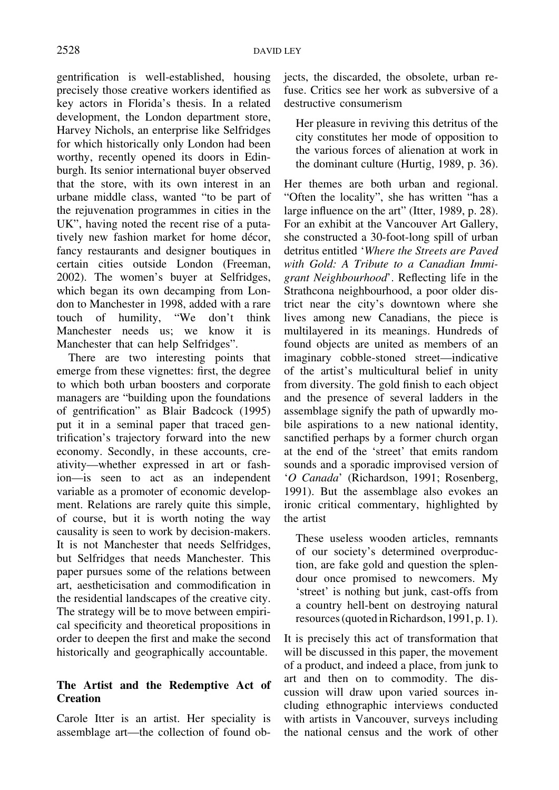gentrification is well-established, housing precisely those creative workers identified as key actors in Florida's thesis. In a related development, the London department store, Harvey Nichols, an enterprise like Selfridges for which historically only London had been worthy, recently opened its doors in Edinburgh. Its senior international buyer observed that the store, with its own interest in an urbane middle class, wanted "to be part of the rejuvenation programmes in cities in the UK", having noted the recent rise of a putatively new fashion market for home décor, fancy restaurants and designer boutiques in certain cities outside London (Freeman, 2002). The women's buyer at Selfridges, which began its own decamping from London to Manchester in 1998, added with a rare touch of humility, "We don't think Manchester needs us; we know it is Manchester that can help Selfridges".

There are two interesting points that emerge from these vignettes: first, the degree to which both urban boosters and corporate managers are "building upon the foundations of gentrification" as Blair Badcock (1995) put it in a seminal paper that traced gentrification's trajectory forward into the new economy. Secondly, in these accounts, creativity—whether expressed in art or fashion—is seen to act as an independent variable as a promoter of economic development. Relations are rarely quite this simple, of course, but it is worth noting the way causality is seen to work by decision-makers. It is not Manchester that needs Selfridges, but Selfridges that needs Manchester. This paper pursues some of the relations between art, aestheticisation and commodification in the residential landscapes of the creative city. The strategy will be to move between empirical specificity and theoretical propositions in order to deepen the first and make the second historically and geographically accountable.

## **The Artist and the Redemptive Act of Creation**

Carole Itter is an artist. Her speciality is assemblage art—the collection of found objects, the discarded, the obsolete, urban refuse. Critics see her work as subversive of a destructive consumerism

Her pleasure in reviving this detritus of the city constitutes her mode of opposition to the various forces of alienation at work in the dominant culture (Hurtig, 1989, p. 36).

Her themes are both urban and regional. "Often the locality", she has written "has a large influence on the art" (Itter, 1989, p. 28). For an exhibit at the Vancouver Art Gallery, she constructed a 30-foot-long spill of urban detritus entitled '*Where the Streets are Paved with Gold: A Tribute to a Canadian Immigrant Neighbourhood*'. Reflecting life in the Strathcona neighbourhood, a poor older district near the city's downtown where she lives among new Canadians, the piece is multilayered in its meanings. Hundreds of found objects are united as members of an imaginary cobble-stoned street—indicative of the artist's multicultural belief in unity from diversity. The gold finish to each object and the presence of several ladders in the assemblage signify the path of upwardly mobile aspirations to a new national identity, sanctified perhaps by a former church organ at the end of the 'street' that emits random sounds and a sporadic improvised version of '*O Canada*' (Richardson, 1991; Rosenberg, 1991). But the assemblage also evokes an ironic critical commentary, highlighted by the artist

These useless wooden articles, remnants of our society's determined overproduction, are fake gold and question the splendour once promised to newcomers. My 'street' is nothing but junk, cast-offs from a country hell-bent on destroying natural resources (quoted in Richardson, 1991, p. 1).

It is precisely this act of transformation that will be discussed in this paper, the movement of a product, and indeed a place, from junk to art and then on to commodity. The discussion will draw upon varied sources including ethnographic interviews conducted with artists in Vancouver, surveys including the national census and the work of other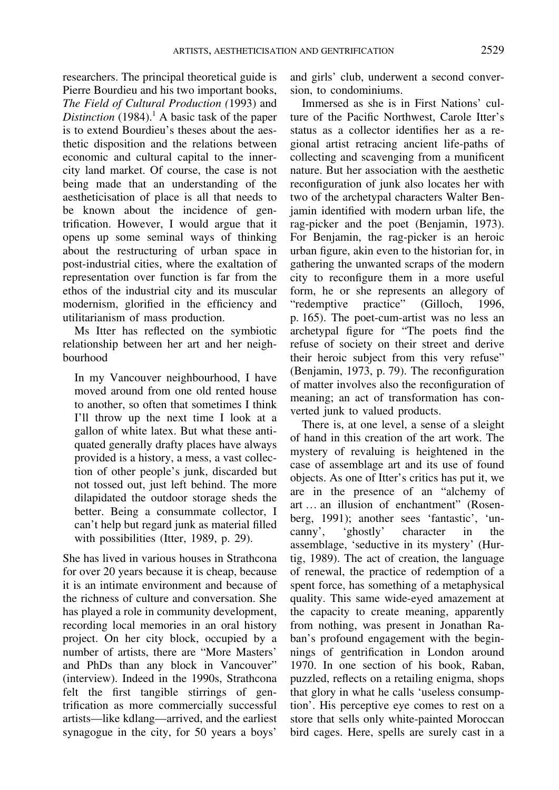researchers. The principal theoretical guide is Pierre Bourdieu and his two important books, *The Field of Cultural Production (*1993) and *Distinction* (1984).<sup>1</sup> A basic task of the paper is to extend Bourdieu's theses about the aesthetic disposition and the relations between economic and cultural capital to the innercity land market. Of course, the case is not being made that an understanding of the aestheticisation of place is all that needs to be known about the incidence of gentrification. However, I would argue that it opens up some seminal ways of thinking about the restructuring of urban space in post-industrial cities, where the exaltation of representation over function is far from the ethos of the industrial city and its muscular modernism, glorified in the efficiency and utilitarianism of mass production.

Ms Itter has reflected on the symbiotic relationship between her art and her neighbourhood

In my Vancouver neighbourhood, I have moved around from one old rented house to another, so often that sometimes I think I'll throw up the next time I look at a gallon of white latex. But what these antiquated generally drafty places have always provided is a history, a mess, a vast collection of other people's junk, discarded but not tossed out, just left behind. The more dilapidated the outdoor storage sheds the better. Being a consummate collector, I can't help but regard junk as material filled with possibilities (Itter, 1989, p. 29).

She has lived in various houses in Strathcona for over 20 years because it is cheap, because it is an intimate environment and because of the richness of culture and conversation. She has played a role in community development, recording local memories in an oral history project. On her city block, occupied by a number of artists, there are "More Masters' and PhDs than any block in Vancouver" (interview). Indeed in the 1990s, Strathcona felt the first tangible stirrings of gentrification as more commercially successful artists—like kdlang—arrived, and the earliest synagogue in the city, for 50 years a boys' and girls' club, underwent a second conversion, to condominiums.

Immersed as she is in First Nations' culture of the Pacific Northwest, Carole Itter's status as a collector identifies her as a regional artist retracing ancient life-paths of collecting and scavenging from a munificent nature. But her association with the aesthetic reconfiguration of junk also locates her with two of the archetypal characters Walter Benjamin identified with modern urban life, the rag-picker and the poet (Benjamin, 1973). For Benjamin, the rag-picker is an heroic urban figure, akin even to the historian for, in gathering the unwanted scraps of the modern city to reconfigure them in a more useful form, he or she represents an allegory of "redemptive practice" (Gilloch, 1996, p. 165). The poet-cum-artist was no less an archetypal figure for "The poets find the refuse of society on their street and derive their heroic subject from this very refuse" (Benjamin, 1973, p. 79). The reconfiguration of matter involves also the reconfiguration of meaning; an act of transformation has converted junk to valued products.

There is, at one level, a sense of a sleight of hand in this creation of the art work. The mystery of revaluing is heightened in the case of assemblage art and its use of found objects. As one of Itter's critics has put it, we are in the presence of an "alchemy of art … an illusion of enchantment" (Rosenberg, 1991); another sees 'fantastic', 'uncanny', 'ghostly' character in the assemblage, 'seductive in its mystery' (Hurtig, 1989). The act of creation, the language of renewal, the practice of redemption of a spent force, has something of a metaphysical quality. This same wide-eyed amazement at the capacity to create meaning, apparently from nothing, was present in Jonathan Raban's profound engagement with the beginnings of gentrification in London around 1970. In one section of his book, Raban, puzzled, reflects on a retailing enigma, shops that glory in what he calls 'useless consumption'. His perceptive eye comes to rest on a store that sells only white-painted Moroccan bird cages. Here, spells are surely cast in a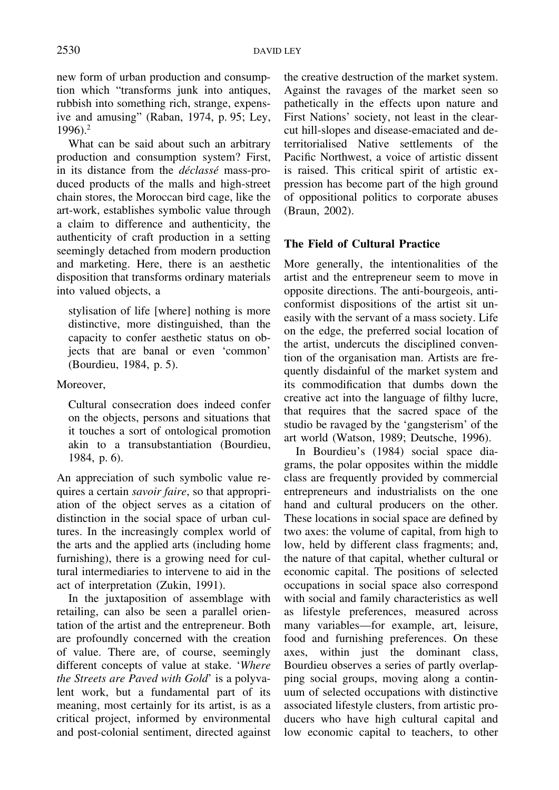new form of urban production and consumption which "transforms junk into antiques, rubbish into something rich, strange, expensive and amusing" (Raban, 1974, p. 95; Ley,  $1996$ ).<sup>2</sup>

What can be said about such an arbitrary production and consumption system? First, in its distance from the *déclassé* mass-produced products of the malls and high-street chain stores, the Moroccan bird cage, like the art-work, establishes symbolic value through a claim to difference and authenticity, the authenticity of craft production in a setting seemingly detached from modern production and marketing. Here, there is an aesthetic disposition that transforms ordinary materials into valued objects, a

stylisation of life [where] nothing is more distinctive, more distinguished, than the capacity to confer aesthetic status on objects that are banal or even 'common' (Bourdieu, 1984, p. 5).

#### Moreover,

Cultural consecration does indeed confer on the objects, persons and situations that it touches a sort of ontological promotion akin to a transubstantiation (Bourdieu, 1984, p. 6).

An appreciation of such symbolic value requires a certain *savoir faire*, so that appropriation of the object serves as a citation of distinction in the social space of urban cultures. In the increasingly complex world of the arts and the applied arts (including home furnishing), there is a growing need for cultural intermediaries to intervene to aid in the act of interpretation (Zukin, 1991).

In the juxtaposition of assemblage with retailing, can also be seen a parallel orientation of the artist and the entrepreneur. Both are profoundly concerned with the creation of value. There are, of course, seemingly different concepts of value at stake. '*Where the Streets are Paved with Gold*' is a polyvalent work, but a fundamental part of its meaning, most certainly for its artist, is as a critical project, informed by environmental and post-colonial sentiment, directed against the creative destruction of the market system. Against the ravages of the market seen so pathetically in the effects upon nature and First Nations' society, not least in the clearcut hill-slopes and disease-emaciated and deterritorialised Native settlements of the Pacific Northwest, a voice of artistic dissent is raised. This critical spirit of artistic expression has become part of the high ground of oppositional politics to corporate abuses (Braun, 2002).

## **The Field of Cultural Practice**

More generally, the intentionalities of the artist and the entrepreneur seem to move in opposite directions. The anti-bourgeois, anticonformist dispositions of the artist sit uneasily with the servant of a mass society. Life on the edge, the preferred social location of the artist, undercuts the disciplined convention of the organisation man. Artists are frequently disdainful of the market system and its commodification that dumbs down the creative act into the language of filthy lucre, that requires that the sacred space of the studio be ravaged by the 'gangsterism' of the art world (Watson, 1989; Deutsche, 1996).

In Bourdieu's (1984) social space diagrams, the polar opposites within the middle class are frequently provided by commercial entrepreneurs and industrialists on the one hand and cultural producers on the other. These locations in social space are defined by two axes: the volume of capital, from high to low, held by different class fragments; and, the nature of that capital, whether cultural or economic capital. The positions of selected occupations in social space also correspond with social and family characteristics as well as lifestyle preferences, measured across many variables—for example, art, leisure, food and furnishing preferences. On these axes, within just the dominant class, Bourdieu observes a series of partly overlapping social groups, moving along a continuum of selected occupations with distinctive associated lifestyle clusters, from artistic producers who have high cultural capital and low economic capital to teachers, to other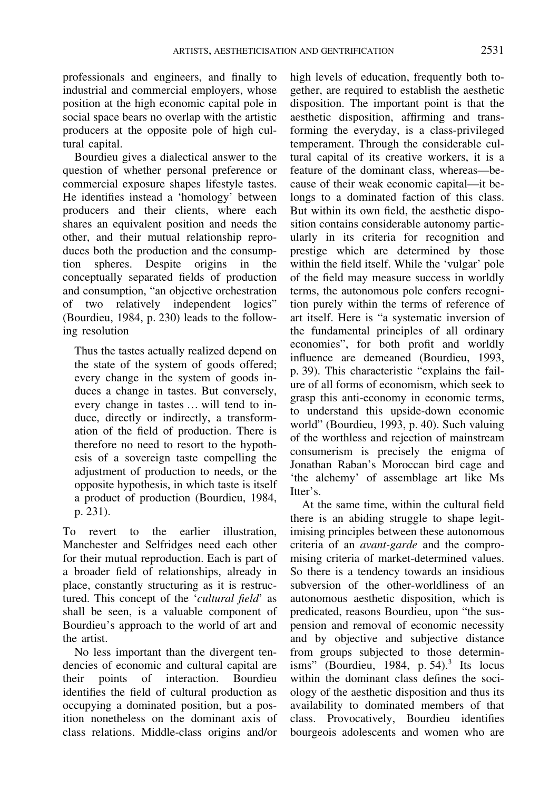professionals and engineers, and finally to industrial and commercial employers, whose position at the high economic capital pole in social space bears no overlap with the artistic producers at the opposite pole of high cultural capital.

Bourdieu gives a dialectical answer to the question of whether personal preference or commercial exposure shapes lifestyle tastes. He identifies instead a 'homology' between producers and their clients, where each shares an equivalent position and needs the other, and their mutual relationship reproduces both the production and the consumption spheres. Despite origins in the conceptually separated fields of production and consumption, "an objective orchestration of two relatively independent logics" (Bourdieu, 1984, p. 230) leads to the following resolution

Thus the tastes actually realized depend on the state of the system of goods offered; every change in the system of goods induces a change in tastes. But conversely, every change in tastes … will tend to induce, directly or indirectly, a transformation of the field of production. There is therefore no need to resort to the hypothesis of a sovereign taste compelling the adjustment of production to needs, or the opposite hypothesis, in which taste is itself a product of production (Bourdieu, 1984, p. 231).

To revert to the earlier illustration, Manchester and Selfridges need each other for their mutual reproduction. Each is part of a broader field of relationships, already in place, constantly structuring as it is restructured. This concept of the '*cultural field*' as shall be seen, is a valuable component of Bourdieu's approach to the world of art and the artist.

No less important than the divergent tendencies of economic and cultural capital are their points of interaction. Bourdieu identifies the field of cultural production as occupying a dominated position, but a position nonetheless on the dominant axis of class relations. Middle-class origins and/or high levels of education, frequently both together, are required to establish the aesthetic disposition. The important point is that the aesthetic disposition, affirming and transforming the everyday, is a class-privileged temperament. Through the considerable cultural capital of its creative workers, it is a feature of the dominant class, whereas—because of their weak economic capital—it belongs to a dominated faction of this class. But within its own field, the aesthetic disposition contains considerable autonomy particularly in its criteria for recognition and prestige which are determined by those within the field itself. While the 'vulgar' pole of the field may measure success in worldly terms, the autonomous pole confers recognition purely within the terms of reference of art itself. Here is "a systematic inversion of the fundamental principles of all ordinary economies", for both profit and worldly influence are demeaned (Bourdieu, 1993, p. 39). This characteristic "explains the failure of all forms of economism, which seek to grasp this anti-economy in economic terms, to understand this upside-down economic world" (Bourdieu, 1993, p. 40). Such valuing of the worthless and rejection of mainstream consumerism is precisely the enigma of Jonathan Raban's Moroccan bird cage and 'the alchemy' of assemblage art like Ms Itter's.

At the same time, within the cultural field there is an abiding struggle to shape legitimising principles between these autonomous criteria of an *avant-garde* and the compromising criteria of market-determined values. So there is a tendency towards an insidious subversion of the other-worldliness of an autonomous aesthetic disposition, which is predicated, reasons Bourdieu, upon "the suspension and removal of economic necessity and by objective and subjective distance from groups subjected to those determinisms" (Bourdieu, 1984, p.  $54$ ).<sup>3</sup> Its locus within the dominant class defines the sociology of the aesthetic disposition and thus its availability to dominated members of that class. Provocatively, Bourdieu identifies bourgeois adolescents and women who are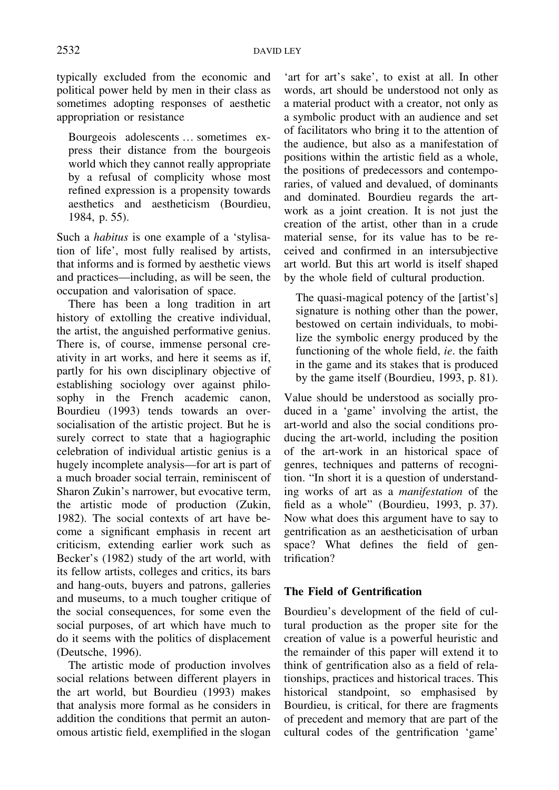typically excluded from the economic and political power held by men in their class as sometimes adopting responses of aesthetic appropriation or resistance

Bourgeois adolescents … sometimes express their distance from the bourgeois world which they cannot really appropriate by a refusal of complicity whose most refined expression is a propensity towards aesthetics and aestheticism (Bourdieu, 1984, p. 55).

Such a *habitus* is one example of a 'stylisation of life', most fully realised by artists, that informs and is formed by aesthetic views and practices—including, as will be seen, the occupation and valorisation of space.

There has been a long tradition in art history of extolling the creative individual, the artist, the anguished performative genius. There is, of course, immense personal creativity in art works, and here it seems as if, partly for his own disciplinary objective of establishing sociology over against philosophy in the French academic canon, Bourdieu (1993) tends towards an oversocialisation of the artistic project. But he is surely correct to state that a hagiographic celebration of individual artistic genius is a hugely incomplete analysis—for art is part of a much broader social terrain, reminiscent of Sharon Zukin's narrower, but evocative term, the artistic mode of production (Zukin, 1982). The social contexts of art have become a significant emphasis in recent art criticism, extending earlier work such as Becker's (1982) study of the art world, with its fellow artists, colleges and critics, its bars and hang-outs, buyers and patrons, galleries and museums, to a much tougher critique of the social consequences, for some even the social purposes, of art which have much to do it seems with the politics of displacement (Deutsche, 1996).

The artistic mode of production involves social relations between different players in the art world, but Bourdieu (1993) makes that analysis more formal as he considers in addition the conditions that permit an autonomous artistic field, exemplified in the slogan

'art for art's sake', to exist at all. In other words, art should be understood not only as a material product with a creator, not only as a symbolic product with an audience and set of facilitators who bring it to the attention of the audience, but also as a manifestation of positions within the artistic field as a whole, the positions of predecessors and contemporaries, of valued and devalued, of dominants and dominated. Bourdieu regards the artwork as a joint creation. It is not just the creation of the artist, other than in a crude material sense, for its value has to be received and confirmed in an intersubjective art world. But this art world is itself shaped by the whole field of cultural production.

The quasi-magical potency of the [artist's] signature is nothing other than the power, bestowed on certain individuals, to mobilize the symbolic energy produced by the functioning of the whole field, *ie*. the faith in the game and its stakes that is produced by the game itself (Bourdieu, 1993, p. 81).

Value should be understood as socially produced in a 'game' involving the artist, the art-world and also the social conditions producing the art-world, including the position of the art-work in an historical space of genres, techniques and patterns of recognition. "In short it is a question of understanding works of art as a *manifestation* of the field as a whole" (Bourdieu, 1993, p. 37). Now what does this argument have to say to gentrification as an aestheticisation of urban space? What defines the field of gentrification?

## **The Field of Gentrification**

Bourdieu's development of the field of cultural production as the proper site for the creation of value is a powerful heuristic and the remainder of this paper will extend it to think of gentrification also as a field of relationships, practices and historical traces. This historical standpoint, so emphasised by Bourdieu, is critical, for there are fragments of precedent and memory that are part of the cultural codes of the gentrification 'game'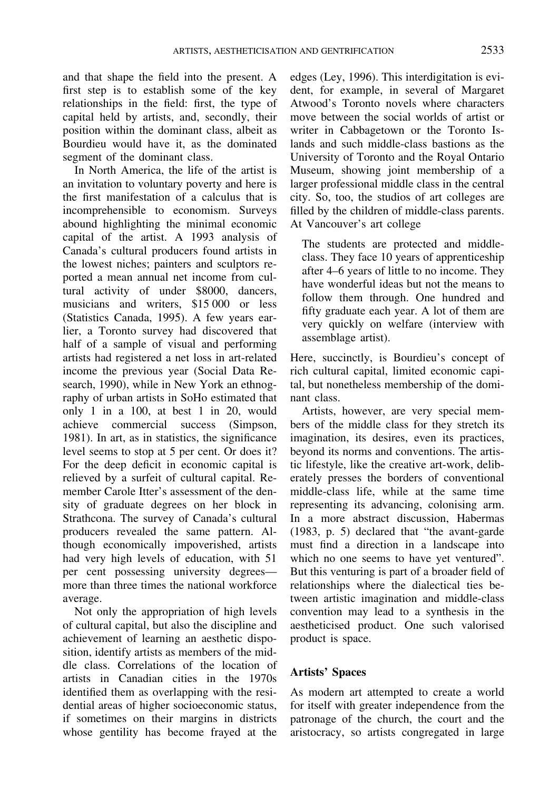and that shape the field into the present. A first step is to establish some of the key relationships in the field: first, the type of capital held by artists, and, secondly, their position within the dominant class, albeit as Bourdieu would have it, as the dominated segment of the dominant class.

In North America, the life of the artist is an invitation to voluntary poverty and here is the first manifestation of a calculus that is incomprehensible to economism. Surveys abound highlighting the minimal economic capital of the artist. A 1993 analysis of Canada's cultural producers found artists in the lowest niches; painters and sculptors reported a mean annual net income from cultural activity of under \$8000, dancers, musicians and writers, \$15 000 or less (Statistics Canada, 1995). A few years earlier, a Toronto survey had discovered that half of a sample of visual and performing artists had registered a net loss in art-related income the previous year (Social Data Research, 1990), while in New York an ethnography of urban artists in SoHo estimated that only 1 in a 100, at best 1 in 20, would achieve commercial success (Simpson, 1981). In art, as in statistics, the significance level seems to stop at 5 per cent. Or does it? For the deep deficit in economic capital is relieved by a surfeit of cultural capital. Remember Carole Itter's assessment of the density of graduate degrees on her block in Strathcona. The survey of Canada's cultural producers revealed the same pattern. Although economically impoverished, artists had very high levels of education, with 51 per cent possessing university degrees more than three times the national workforce average.

Not only the appropriation of high levels of cultural capital, but also the discipline and achievement of learning an aesthetic disposition, identify artists as members of the middle class. Correlations of the location of artists in Canadian cities in the 1970s identified them as overlapping with the residential areas of higher socioeconomic status, if sometimes on their margins in districts whose gentility has become frayed at the edges (Ley, 1996). This interdigitation is evident, for example, in several of Margaret Atwood's Toronto novels where characters move between the social worlds of artist or writer in Cabbagetown or the Toronto Islands and such middle-class bastions as the University of Toronto and the Royal Ontario Museum, showing joint membership of a larger professional middle class in the central city. So, too, the studios of art colleges are filled by the children of middle-class parents. At Vancouver's art college

The students are protected and middleclass. They face 10 years of apprenticeship after 4–6 years of little to no income. They have wonderful ideas but not the means to follow them through. One hundred and fifty graduate each year. A lot of them are very quickly on welfare (interview with assemblage artist).

Here, succinctly, is Bourdieu's concept of rich cultural capital, limited economic capital, but nonetheless membership of the dominant class.

Artists, however, are very special members of the middle class for they stretch its imagination, its desires, even its practices, beyond its norms and conventions. The artistic lifestyle, like the creative art-work, deliberately presses the borders of conventional middle-class life, while at the same time representing its advancing, colonising arm. In a more abstract discussion, Habermas (1983, p. 5) declared that "the avant-garde must find a direction in a landscape into which no one seems to have yet ventured". But this venturing is part of a broader field of relationships where the dialectical ties between artistic imagination and middle-class convention may lead to a synthesis in the aestheticised product. One such valorised product is space.

#### **Artists' Spaces**

As modern art attempted to create a world for itself with greater independence from the patronage of the church, the court and the aristocracy, so artists congregated in large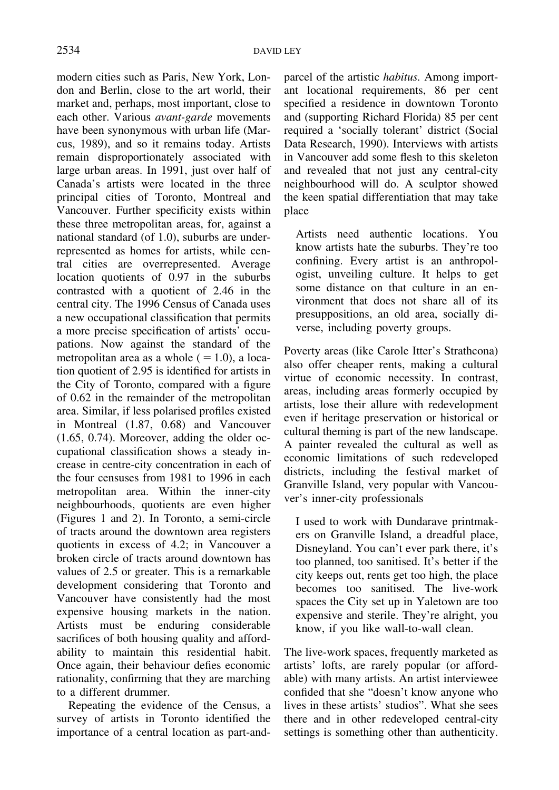modern cities such as Paris, New York, London and Berlin, close to the art world, their market and, perhaps, most important, close to each other. Various *avant-garde* movements have been synonymous with urban life (Marcus, 1989), and so it remains today. Artists remain disproportionately associated with large urban areas. In 1991, just over half of Canada's artists were located in the three principal cities of Toronto, Montreal and Vancouver. Further specificity exists within these three metropolitan areas, for, against a national standard (of 1.0), suburbs are underrepresented as homes for artists, while central cities are overrepresented. Average location quotients of 0.97 in the suburbs contrasted with a quotient of 2.46 in the central city. The 1996 Census of Canada uses a new occupational classification that permits a more precise specification of artists' occupations. Now against the standard of the metropolitan area as a whole  $( = 1.0)$ , a location quotient of 2.95 is identified for artists in the City of Toronto, compared with a figure of 0.62 in the remainder of the metropolitan area. Similar, if less polarised profiles existed in Montreal (1.87, 0.68) and Vancouver (1.65, 0.74). Moreover, adding the older occupational classification shows a steady increase in centre-city concentration in each of the four censuses from 1981 to 1996 in each metropolitan area. Within the inner-city neighbourhoods, quotients are even higher (Figures 1 and 2). In Toronto, a semi-circle of tracts around the downtown area registers quotients in excess of 4.2; in Vancouver a broken circle of tracts around downtown has values of 2.5 or greater. This is a remarkable development considering that Toronto and Vancouver have consistently had the most expensive housing markets in the nation. Artists must be enduring considerable sacrifices of both housing quality and affordability to maintain this residential habit. Once again, their behaviour defies economic rationality, confirming that they are marching to a different drummer.

Repeating the evidence of the Census, a survey of artists in Toronto identified the importance of a central location as part-andparcel of the artistic *habitus.* Among important locational requirements, 86 per cent specified a residence in downtown Toronto and (supporting Richard Florida) 85 per cent required a 'socially tolerant' district (Social Data Research, 1990). Interviews with artists in Vancouver add some flesh to this skeleton and revealed that not just any central-city neighbourhood will do. A sculptor showed the keen spatial differentiation that may take place

Artists need authentic locations. You know artists hate the suburbs. They're too confining. Every artist is an anthropologist, unveiling culture. It helps to get some distance on that culture in an environment that does not share all of its presuppositions, an old area, socially diverse, including poverty groups.

Poverty areas (like Carole Itter's Strathcona) also offer cheaper rents, making a cultural virtue of economic necessity. In contrast, areas, including areas formerly occupied by artists, lose their allure with redevelopment even if heritage preservation or historical or cultural theming is part of the new landscape. A painter revealed the cultural as well as economic limitations of such redeveloped districts, including the festival market of Granville Island, very popular with Vancouver's inner-city professionals

I used to work with Dundarave printmakers on Granville Island, a dreadful place, Disneyland. You can't ever park there, it's too planned, too sanitised. It's better if the city keeps out, rents get too high, the place becomes too sanitised. The live-work spaces the City set up in Yaletown are too expensive and sterile. They're alright, you know, if you like wall-to-wall clean.

The live-work spaces, frequently marketed as artists' lofts, are rarely popular (or affordable) with many artists. An artist interviewee confided that she "doesn't know anyone who lives in these artists' studios". What she sees there and in other redeveloped central-city settings is something other than authenticity.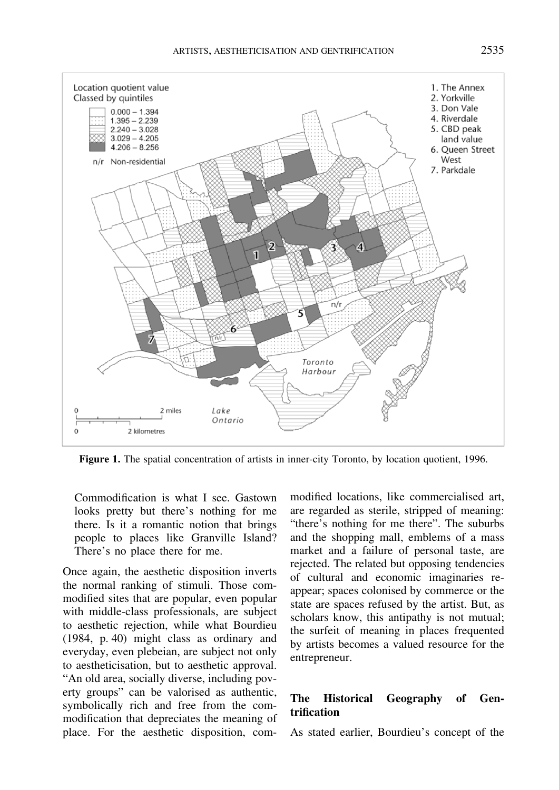

**Figure 1.** The spatial concentration of artists in inner-city Toronto, by location quotient, 1996.

Commodification is what I see. Gastown looks pretty but there's nothing for me there. Is it a romantic notion that brings people to places like Granville Island? There's no place there for me.

Once again, the aesthetic disposition inverts the normal ranking of stimuli. Those commodified sites that are popular, even popular with middle-class professionals, are subject to aesthetic rejection, while what Bourdieu (1984, p. 40) might class as ordinary and everyday, even plebeian, are subject not only to aestheticisation, but to aesthetic approval. "An old area, socially diverse, including poverty groups" can be valorised as authentic, symbolically rich and free from the commodification that depreciates the meaning of place. For the aesthetic disposition, commodified locations, like commercialised art, are regarded as sterile, stripped of meaning: "there's nothing for me there". The suburbs and the shopping mall, emblems of a mass market and a failure of personal taste, are rejected. The related but opposing tendencies of cultural and economic imaginaries reappear; spaces colonised by commerce or the state are spaces refused by the artist. But, as scholars know, this antipathy is not mutual; the surfeit of meaning in places frequented by artists becomes a valued resource for the entrepreneur.

## **The Historical Geography of Gentrification**

As stated earlier, Bourdieu's concept of the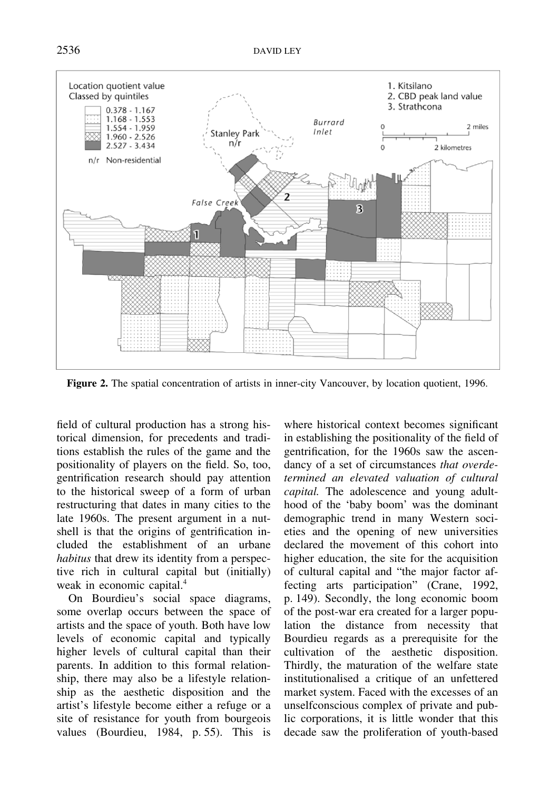

**Figure 2.** The spatial concentration of artists in inner-city Vancouver, by location quotient, 1996.

field of cultural production has a strong historical dimension, for precedents and traditions establish the rules of the game and the positionality of players on the field. So, too, gentrification research should pay attention to the historical sweep of a form of urban restructuring that dates in many cities to the late 1960s. The present argument in a nutshell is that the origins of gentrification included the establishment of an urbane *habitus* that drew its identity from a perspective rich in cultural capital but (initially) weak in economic capital.<sup>4</sup>

On Bourdieu's social space diagrams, some overlap occurs between the space of artists and the space of youth. Both have low levels of economic capital and typically higher levels of cultural capital than their parents. In addition to this formal relationship, there may also be a lifestyle relationship as the aesthetic disposition and the artist's lifestyle become either a refuge or a site of resistance for youth from bourgeois values (Bourdieu, 1984, p. 55). This is

where historical context becomes significant in establishing the positionality of the field of gentrification, for the 1960s saw the ascendancy of a set of circumstances *that overdetermined an elevated valuation of cultural capital.* The adolescence and young adulthood of the 'baby boom' was the dominant demographic trend in many Western societies and the opening of new universities declared the movement of this cohort into higher education, the site for the acquisition of cultural capital and "the major factor affecting arts participation" (Crane, 1992, p. 149). Secondly, the long economic boom of the post-war era created for a larger population the distance from necessity that Bourdieu regards as a prerequisite for the cultivation of the aesthetic disposition. Thirdly, the maturation of the welfare state institutionalised a critique of an unfettered market system. Faced with the excesses of an unselfconscious complex of private and public corporations, it is little wonder that this decade saw the proliferation of youth-based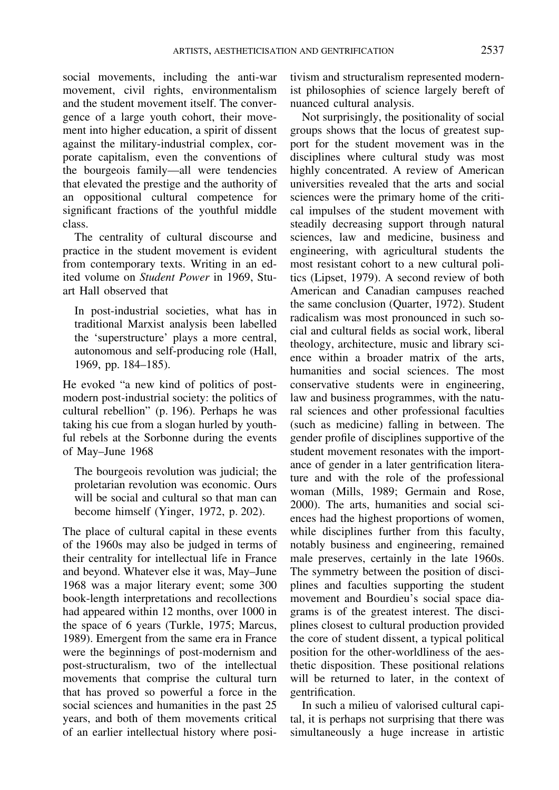social movements, including the anti-war movement, civil rights, environmentalism and the student movement itself. The convergence of a large youth cohort, their movement into higher education, a spirit of dissent against the military-industrial complex, corporate capitalism, even the conventions of the bourgeois family—all were tendencies that elevated the prestige and the authority of an oppositional cultural competence for significant fractions of the youthful middle class.

The centrality of cultural discourse and practice in the student movement is evident from contemporary texts. Writing in an edited volume on *Student Power* in 1969, Stuart Hall observed that

In post-industrial societies, what has in traditional Marxist analysis been labelled the 'superstructure' plays a more central, autonomous and self-producing role (Hall, 1969, pp. 184–185).

He evoked "a new kind of politics of postmodern post-industrial society: the politics of cultural rebellion" (p. 196). Perhaps he was taking his cue from a slogan hurled by youthful rebels at the Sorbonne during the events of May–June 1968

The bourgeois revolution was judicial; the proletarian revolution was economic. Ours will be social and cultural so that man can become himself (Yinger, 1972, p. 202).

The place of cultural capital in these events of the 1960s may also be judged in terms of their centrality for intellectual life in France and beyond. Whatever else it was, May–June 1968 was a major literary event; some 300 book-length interpretations and recollections had appeared within 12 months, over 1000 in the space of 6 years (Turkle, 1975; Marcus, 1989). Emergent from the same era in France were the beginnings of post-modernism and post-structuralism, two of the intellectual movements that comprise the cultural turn that has proved so powerful a force in the social sciences and humanities in the past 25 years, and both of them movements critical of an earlier intellectual history where positivism and structuralism represented modernist philosophies of science largely bereft of nuanced cultural analysis.

Not surprisingly, the positionality of social groups shows that the locus of greatest support for the student movement was in the disciplines where cultural study was most highly concentrated. A review of American universities revealed that the arts and social sciences were the primary home of the critical impulses of the student movement with steadily decreasing support through natural sciences, law and medicine, business and engineering, with agricultural students the most resistant cohort to a new cultural politics (Lipset, 1979). A second review of both American and Canadian campuses reached the same conclusion (Quarter, 1972). Student radicalism was most pronounced in such social and cultural fields as social work, liberal theology, architecture, music and library science within a broader matrix of the arts, humanities and social sciences. The most conservative students were in engineering, law and business programmes, with the natural sciences and other professional faculties (such as medicine) falling in between. The gender profile of disciplines supportive of the student movement resonates with the importance of gender in a later gentrification literature and with the role of the professional woman (Mills, 1989; Germain and Rose, 2000). The arts, humanities and social sciences had the highest proportions of women, while disciplines further from this faculty, notably business and engineering, remained male preserves, certainly in the late 1960s. The symmetry between the position of disciplines and faculties supporting the student movement and Bourdieu's social space diagrams is of the greatest interest. The disciplines closest to cultural production provided the core of student dissent, a typical political position for the other-worldliness of the aesthetic disposition. These positional relations will be returned to later, in the context of gentrification.

In such a milieu of valorised cultural capital, it is perhaps not surprising that there was simultaneously a huge increase in artistic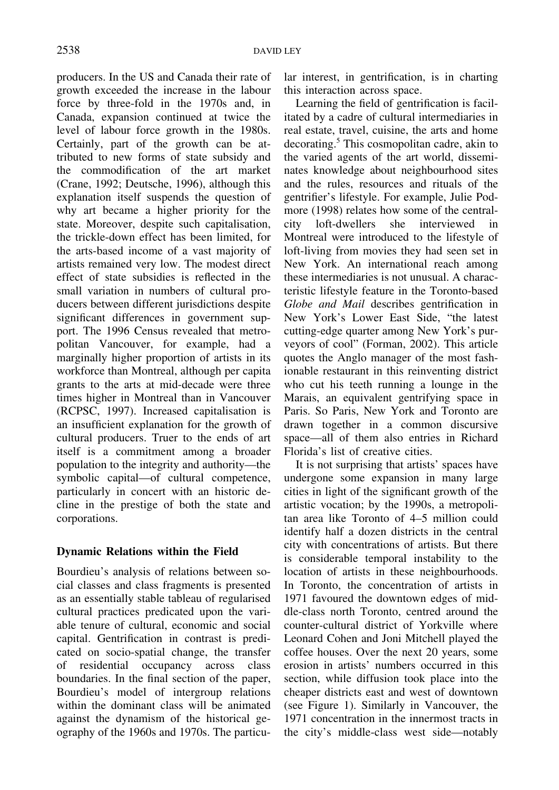producers. In the US and Canada their rate of growth exceeded the increase in the labour force by three-fold in the 1970s and, in Canada, expansion continued at twice the level of labour force growth in the 1980s. Certainly, part of the growth can be attributed to new forms of state subsidy and the commodification of the art market (Crane, 1992; Deutsche, 1996), although this explanation itself suspends the question of why art became a higher priority for the state. Moreover, despite such capitalisation, the trickle-down effect has been limited, for the arts-based income of a vast majority of artists remained very low. The modest direct effect of state subsidies is reflected in the small variation in numbers of cultural producers between different jurisdictions despite significant differences in government support. The 1996 Census revealed that metropolitan Vancouver, for example, had a marginally higher proportion of artists in its workforce than Montreal, although per capita grants to the arts at mid-decade were three times higher in Montreal than in Vancouver (RCPSC, 1997). Increased capitalisation is an insufficient explanation for the growth of cultural producers. Truer to the ends of art itself is a commitment among a broader population to the integrity and authority—the symbolic capital—of cultural competence, particularly in concert with an historic decline in the prestige of both the state and corporations.

## **Dynamic Relations within the Field**

Bourdieu's analysis of relations between social classes and class fragments is presented as an essentially stable tableau of regularised cultural practices predicated upon the variable tenure of cultural, economic and social capital. Gentrification in contrast is predicated on socio-spatial change, the transfer of residential occupancy across class boundaries. In the final section of the paper, Bourdieu's model of intergroup relations within the dominant class will be animated against the dynamism of the historical geography of the 1960s and 1970s. The particular interest, in gentrification, is in charting this interaction across space.

Learning the field of gentrification is facilitated by a cadre of cultural intermediaries in real estate, travel, cuisine, the arts and home decorating.5 This cosmopolitan cadre, akin to the varied agents of the art world, disseminates knowledge about neighbourhood sites and the rules, resources and rituals of the gentrifier's lifestyle. For example, Julie Podmore (1998) relates how some of the centralcity loft-dwellers she interviewed in Montreal were introduced to the lifestyle of loft-living from movies they had seen set in New York. An international reach among these intermediaries is not unusual. A characteristic lifestyle feature in the Toronto-based *Globe and Mail* describes gentrification in New York's Lower East Side, "the latest cutting-edge quarter among New York's purveyors of cool" (Forman, 2002). This article quotes the Anglo manager of the most fashionable restaurant in this reinventing district who cut his teeth running a lounge in the Marais, an equivalent gentrifying space in Paris. So Paris, New York and Toronto are drawn together in a common discursive space—all of them also entries in Richard Florida's list of creative cities.

It is not surprising that artists' spaces have undergone some expansion in many large cities in light of the significant growth of the artistic vocation; by the 1990s, a metropolitan area like Toronto of 4–5 million could identify half a dozen districts in the central city with concentrations of artists. But there is considerable temporal instability to the location of artists in these neighbourhoods. In Toronto, the concentration of artists in 1971 favoured the downtown edges of middle-class north Toronto, centred around the counter-cultural district of Yorkville where Leonard Cohen and Joni Mitchell played the coffee houses. Over the next 20 years, some erosion in artists' numbers occurred in this section, while diffusion took place into the cheaper districts east and west of downtown (see Figure 1). Similarly in Vancouver, the 1971 concentration in the innermost tracts in the city's middle-class west side—notably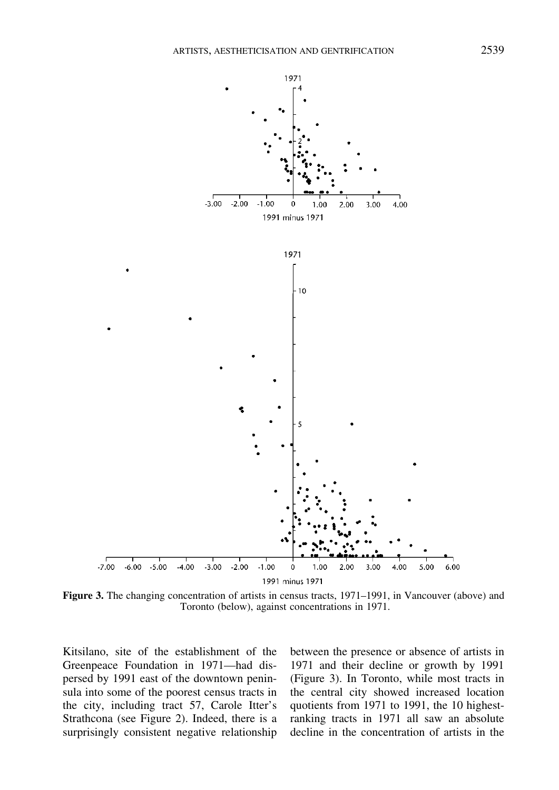

**Figure 3.** The changing concentration of artists in census tracts, 1971–1991, in Vancouver (above) and Toronto (below), against concentrations in 1971.

Kitsilano, site of the establishment of the Greenpeace Foundation in 1971—had dispersed by 1991 east of the downtown peninsula into some of the poorest census tracts in the city, including tract 57, Carole Itter's Strathcona (see Figure 2). Indeed, there is a surprisingly consistent negative relationship between the presence or absence of artists in 1971 and their decline or growth by 1991 (Figure 3). In Toronto, while most tracts in the central city showed increased location quotients from 1971 to 1991, the 10 highestranking tracts in 1971 all saw an absolute decline in the concentration of artists in the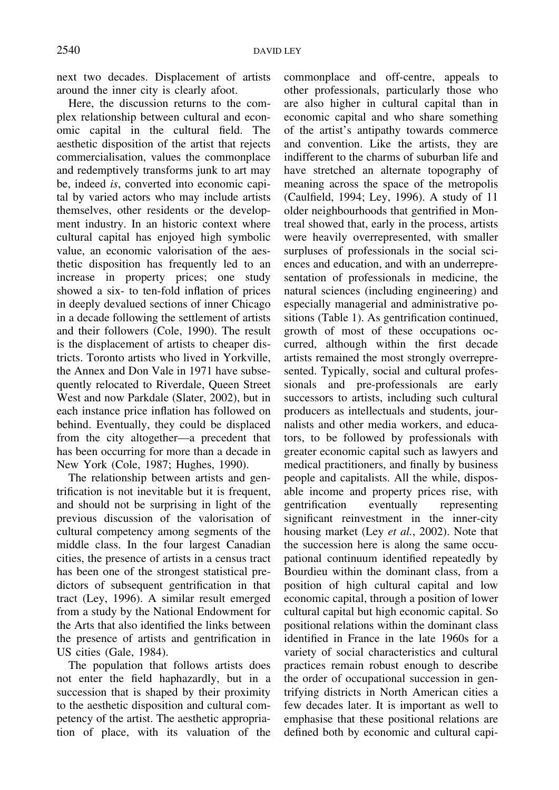next two decades. Displacement of artists around the inner city is clearly afoot.

Here, the discussion returns to the complex relationship between cultural and economic capital in the cultural field. The aesthetic disposition of the artist that rejects commercialisation, values the commonplace and redemptively transforms junk to art may be, indeed *is*, converted into economic capital by varied actors who may include artists themselves, other residents or the development industry. In an historic context where cultural capital has enjoyed high symbolic value, an economic valorisation of the aesthetic disposition has frequently led to an increase in property prices; one study showed a six- to ten-fold inflation of prices in deeply devalued sections of inner Chicago in a decade following the settlement of artists and their followers (Cole, 1990). The result is the displacement of artists to cheaper districts. Toronto artists who lived in Yorkville, the Annex and Don Vale in 1971 have subsequently relocated to Riverdale, Queen Street West and now Parkdale (Slater, 2002), but in each instance price inflation has followed on behind. Eventually, they could be displaced from the city altogether—a precedent that has been occurring for more than a decade in New York (Cole, 1987; Hughes, 1990).

The relationship between artists and gentrification is not inevitable but it is frequent, and should not be surprising in light of the previous discussion of the valorisation of cultural competency among segments of the middle class. In the four largest Canadian cities, the presence of artists in a census tract has been one of the strongest statistical predictors of subsequent gentrification in that tract (Ley, 1996). A similar result emerged from a study by the National Endowment for the Arts that also identified the links between the presence of artists and gentrification in US cities (Gale, 1984).

The population that follows artists does not enter the field haphazardly, but in a succession that is shaped by their proximity to the aesthetic disposition and cultural competency of the artist. The aesthetic appropriation of place, with its valuation of the commonplace and off-centre, appeals to other professionals, particularly those who are also higher in cultural capital than in economic capital and who share something of the artist's antipathy towards commerce and convention. Like the artists, they are indifferent to the charms of suburban life and have stretched an alternate topography of meaning across the space of the metropolis (Caulfield, 1994; Ley, 1996). A study of 11 older neighbourhoods that gentrified in Montreal showed that, early in the process, artists were heavily overrepresented, with smaller surpluses of professionals in the social sciences and education, and with an underrepresentation of professionals in medicine, the natural sciences (including engineering) and especially managerial and administrative positions (Table 1). As gentrification continued, growth of most of these occupations occurred, although within the first decade artists remained the most strongly overrepresented. Typically, social and cultural professionals and pre-professionals are early successors to artists, including such cultural producers as intellectuals and students, journalists and other media workers, and educators, to be followed by professionals with greater economic capital such as lawyers and medical practitioners, and finally by business people and capitalists. All the while, disposable income and property prices rise, with gentrification eventually representing significant reinvestment in the inner-city housing market (Ley *et al.*, 2002). Note that the succession here is along the same occupational continuum identified repeatedly by Bourdieu within the dominant class, from a position of high cultural capital and low economic capital, through a position of lower cultural capital but high economic capital. So positional relations within the dominant class identified in France in the late 1960s for a variety of social characteristics and cultural practices remain robust enough to describe the order of occupational succession in gentrifying districts in North American cities a few decades later. It is important as well to emphasise that these positional relations are defined both by economic and cultural capi-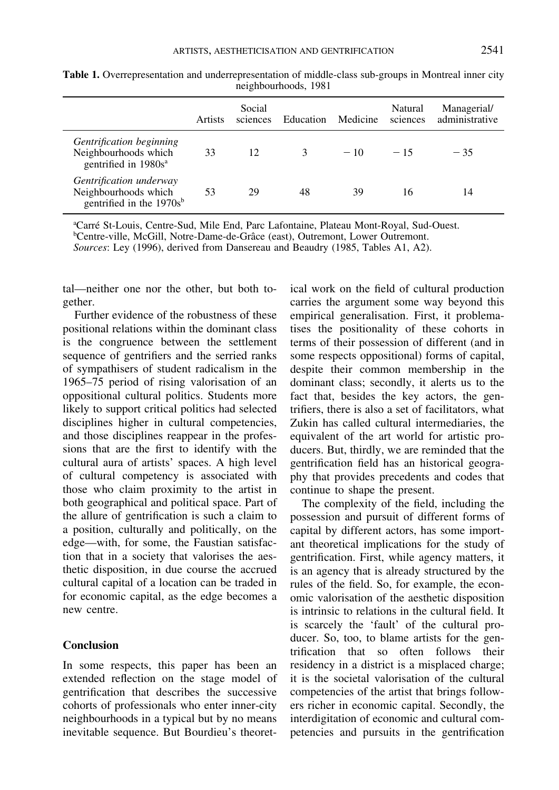|                                                                                         | <b>Artists</b> | Social<br>sciences | Education | Medicine  | Natural<br>sciences | Managerial/<br>administrative |
|-----------------------------------------------------------------------------------------|----------------|--------------------|-----------|-----------|---------------------|-------------------------------|
| Gentrification beginning<br>Neighbourhoods which<br>gentrified in 1980s <sup>a</sup>    | 33             | 12                 | 3         | $-10^{-}$ | $-15$               | $-35$                         |
| Gentrification underway<br>Neighbourhoods which<br>gentrified in the 1970s <sup>b</sup> | 53             | 29                 | 48        | 39        | 16                  | 14                            |

**Table 1.** Overrepresentation and underrepresentation of middle-class sub-groups in Montreal inner city neighbourhoods, 1981

<sup>a</sup>Carré St-Louis, Centre-Sud, Mile End, Parc Lafontaine, Plateau Mont-Royal, Sud-Ouest.<br><sup>b</sup>Centre ville, McGill, Notre Dame de Grâce (east), Outremont, Lower Outremont. <sup>b</sup>Centre-ville, McGill, Notre-Dame-de-Grâce (east), Outremont, Lower Outremont. *Sources*: Ley (1996), derived from Dansereau and Beaudry (1985, Tables A1, A2).

tal—neither one nor the other, but both together.

Further evidence of the robustness of these positional relations within the dominant class is the congruence between the settlement sequence of gentrifiers and the serried ranks of sympathisers of student radicalism in the 1965–75 period of rising valorisation of an oppositional cultural politics. Students more likely to support critical politics had selected disciplines higher in cultural competencies, and those disciplines reappear in the professions that are the first to identify with the cultural aura of artists' spaces. A high level of cultural competency is associated with those who claim proximity to the artist in both geographical and political space. Part of the allure of gentrification is such a claim to a position, culturally and politically, on the edge—with, for some, the Faustian satisfaction that in a society that valorises the aesthetic disposition, in due course the accrued cultural capital of a location can be traded in for economic capital, as the edge becomes a new centre.

#### **Conclusion**

In some respects, this paper has been an extended reflection on the stage model of gentrification that describes the successive cohorts of professionals who enter inner-city neighbourhoods in a typical but by no means inevitable sequence. But Bourdieu's theoretical work on the field of cultural production carries the argument some way beyond this empirical generalisation. First, it problematises the positionality of these cohorts in terms of their possession of different (and in some respects oppositional) forms of capital, despite their common membership in the dominant class; secondly, it alerts us to the fact that, besides the key actors, the gentrifiers, there is also a set of facilitators, what Zukin has called cultural intermediaries, the equivalent of the art world for artistic producers. But, thirdly, we are reminded that the gentrification field has an historical geography that provides precedents and codes that continue to shape the present.

The complexity of the field, including the possession and pursuit of different forms of capital by different actors, has some important theoretical implications for the study of gentrification. First, while agency matters, it is an agency that is already structured by the rules of the field. So, for example, the economic valorisation of the aesthetic disposition is intrinsic to relations in the cultural field. It is scarcely the 'fault' of the cultural producer. So, too, to blame artists for the gentrification that so often follows their residency in a district is a misplaced charge; it is the societal valorisation of the cultural competencies of the artist that brings followers richer in economic capital. Secondly, the interdigitation of economic and cultural competencies and pursuits in the gentrification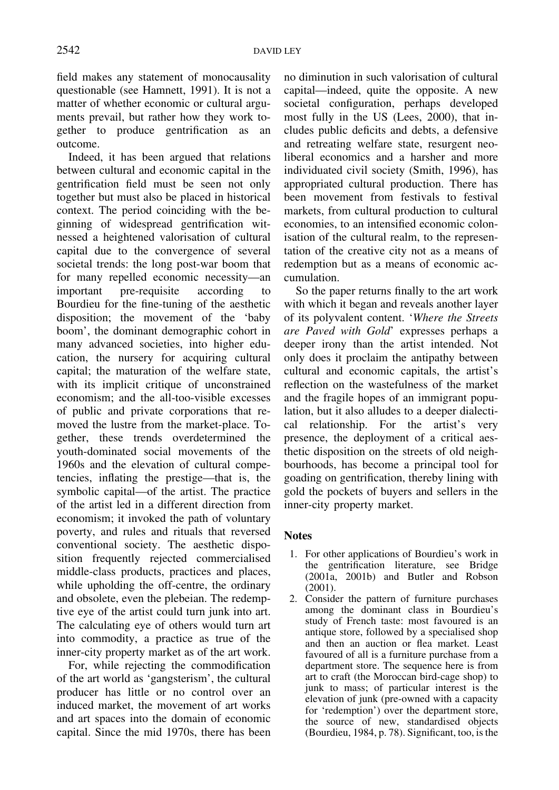field makes any statement of monocausality questionable (see Hamnett, 1991). It is not a matter of whether economic or cultural arguments prevail, but rather how they work together to produce gentrification as an outcome.

Indeed, it has been argued that relations between cultural and economic capital in the gentrification field must be seen not only together but must also be placed in historical context. The period coinciding with the beginning of widespread gentrification witnessed a heightened valorisation of cultural capital due to the convergence of several societal trends: the long post-war boom that for many repelled economic necessity—an important pre-requisite according to Bourdieu for the fine-tuning of the aesthetic disposition; the movement of the 'baby boom', the dominant demographic cohort in many advanced societies, into higher education, the nursery for acquiring cultural capital; the maturation of the welfare state, with its implicit critique of unconstrained economism; and the all-too-visible excesses of public and private corporations that removed the lustre from the market-place. Together, these trends overdetermined the youth-dominated social movements of the 1960s and the elevation of cultural competencies, inflating the prestige—that is, the symbolic capital—of the artist. The practice of the artist led in a different direction from economism; it invoked the path of voluntary poverty, and rules and rituals that reversed conventional society. The aesthetic disposition frequently rejected commercialised middle-class products, practices and places, while upholding the off-centre, the ordinary and obsolete, even the plebeian. The redemptive eye of the artist could turn junk into art. The calculating eye of others would turn art into commodity, a practice as true of the inner-city property market as of the art work.

For, while rejecting the commodification of the art world as 'gangsterism', the cultural producer has little or no control over an induced market, the movement of art works and art spaces into the domain of economic capital. Since the mid 1970s, there has been no diminution in such valorisation of cultural capital—indeed, quite the opposite. A new societal configuration, perhaps developed most fully in the US (Lees, 2000), that includes public deficits and debts, a defensive and retreating welfare state, resurgent neoliberal economics and a harsher and more individuated civil society (Smith, 1996), has appropriated cultural production. There has been movement from festivals to festival markets, from cultural production to cultural economies, to an intensified economic colonisation of the cultural realm, to the representation of the creative city not as a means of redemption but as a means of economic accumulation.

So the paper returns finally to the art work with which it began and reveals another layer of its polyvalent content. '*Where the Streets are Paved with Gold*' expresses perhaps a deeper irony than the artist intended. Not only does it proclaim the antipathy between cultural and economic capitals, the artist's reflection on the wastefulness of the market and the fragile hopes of an immigrant population, but it also alludes to a deeper dialectical relationship. For the artist's very presence, the deployment of a critical aesthetic disposition on the streets of old neighbourhoods, has become a principal tool for goading on gentrification, thereby lining with gold the pockets of buyers and sellers in the inner-city property market.

#### **Notes**

- 1. For other applications of Bourdieu's work in the gentrification literature, see Bridge (2001a, 2001b) and Butler and Robson (2001).
- 2. Consider the pattern of furniture purchases among the dominant class in Bourdieu's study of French taste: most favoured is an antique store, followed by a specialised shop and then an auction or flea market. Least favoured of all is a furniture purchase from a department store. The sequence here is from art to craft (the Moroccan bird-cage shop) to junk to mass; of particular interest is the elevation of junk (pre-owned with a capacity for 'redemption') over the department store, the source of new, standardised objects (Bourdieu, 1984, p. 78). Significant, too, is the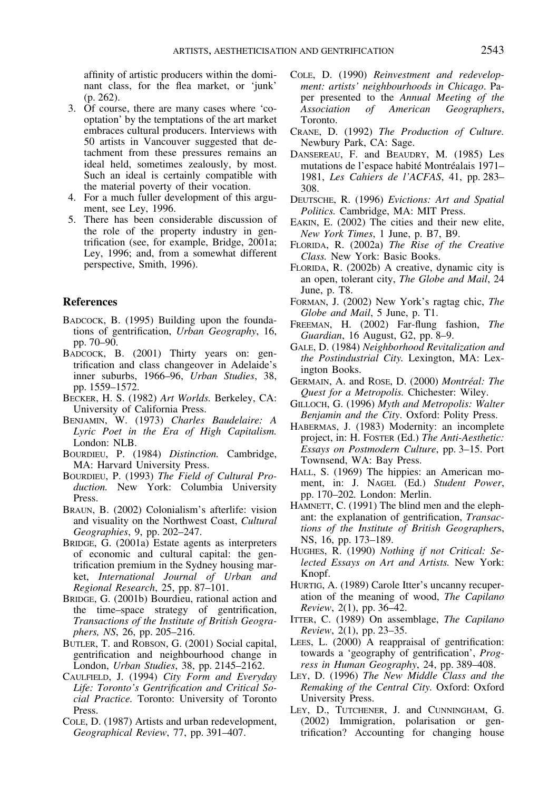affinity of artistic producers within the dominant class, for the flea market, or 'junk' (p. 262).

- 3. Of course, there are many cases where 'cooptation' by the temptations of the art market embraces cultural producers. Interviews with 50 artists in Vancouver suggested that detachment from these pressures remains an ideal held, sometimes zealously, by most. Such an ideal is certainly compatible with the material poverty of their vocation.
- 4. For a much fuller development of this argument, see Ley, 1996.
- 5. There has been considerable discussion of the role of the property industry in gentrification (see, for example, Bridge, 2001a; Ley, 1996; and, from a somewhat different perspective, Smith, 1996).

#### **References**

- BADCOCK, B. (1995) Building upon the foundations of gentrification, *Urban Geography*, 16, pp. 70–90.
- BADCOCK, B. (2001) Thirty years on: gentrification and class changeover in Adelaide's inner suburbs, 1966–96, *Urban Studies*, 38, pp. 1559–1572.
- BECKER, H. S. (1982) *Art Worlds.* Berkeley, CA: University of California Press.
- BENJAMIN, W. (1973) *Charles Baudelaire: A Lyric Poet in the Era of High Capitalism.* London: NLB.
- BOURDIEU, P. (1984) *Distinction.* Cambridge, MA: Harvard University Press.
- BOURDIEU, P. (1993) *The Field of Cultural Production.* New York: Columbia University Press.
- BRAUN, B. (2002) Colonialism's afterlife: vision and visuality on the Northwest Coast, *Cultural Geographies*, 9, pp. 202–247.
- BRIDGE, G. (2001a) Estate agents as interpreters of economic and cultural capital: the gentrification premium in the Sydney housing market, *International Journal of Urban and Regional Research*, 25, pp. 87–101.
- BRIDGE, G. (2001b) Bourdieu, rational action and the time–space strategy of gentrification, *Transactions of the Institute of British Geographers, NS*, 26, pp. 205–216.
- BUTLER, T. and ROBSON, G. (2001) Social capital, gentrification and neighbourhood change in London, *Urban Studies*, 38, pp. 2145–2162.
- CAULFIELD, J. (1994) *City Form and Everyday Life: Toronto's Gentrification and Critical Social Practice.* Toronto: University of Toronto Press.
- COLE, D. (1987) Artists and urban redevelopment, *Geographical Review*, 77, pp. 391–407.
- COLE, D. (1990) *Reinvestment and redevelopment: artists' neighbourhoods in Chicago*. Paper presented to the *Annual Meeting of the Association of American Geographers*, Toronto.
- CRANE, D. (1992) *The Production of Culture.* Newbury Park, CA: Sage.
- DANSEREAU, F. and BEAUDRY, M. (1985) Les mutations de l'espace habité Montréalais 1971– 1981, *Les Cahiers de l'ACFAS*, 41, pp. 283– 308.
- DEUTSCHE, R. (1996) *Evictions: Art and Spatial Politics.* Cambridge, MA: MIT Press.
- EAKIN, E. (2002) The cities and their new elite, *New York Times*, 1 June, p. B7, B9.
- FLORIDA, R. (2002a) *The Rise of the Creative Class.* New York: Basic Books.
- FLORIDA, R. (2002b) A creative, dynamic city is an open, tolerant city, *The Globe and Mail*, 24 June, p. T8.
- FORMAN, J. (2002) New York's ragtag chic, *The Globe and Mail*, 5 June, p. T1.
- FREEMAN, H. (2002) Far-flung fashion, *The Guardian*, 16 August, G2, pp. 8–9.
- GALE, D. (1984) *Neighborhood Revitalization and the Postindustrial City.* Lexington, MA: Lexington Books.
- GERMAIN, A. and ROSE, D. (2000) *Montréal: The Quest for a Metropolis.* Chichester: Wiley.
- GILLOCH, G. (1996) *Myth and Metropolis: Walter Benjamin and the City*. Oxford: Polity Press.
- HABERMAS, J. (1983) Modernity: an incomplete project, in: H. FOSTER (Ed.) *The Anti-Aesthetic: Essays on Postmodern Culture*, pp. 3–15. Port Townsend, WA: Bay Press.
- HALL, S. (1969) The hippies: an American moment, in: J. NAGEL (Ed.) *Student Power*, pp. 170–202*.* London: Merlin.
- HAMNETT, C. (1991) The blind men and the elephant: the explanation of gentrification, *Transactions of the Institute of British Geographer*s, NS, 16, pp. 173–189.
- HUGHES, R. (1990) *Nothing if not Critical: Selected Essays on Art and Artists.* New York: Knopf.
- HURTIG, A. (1989) Carole Itter's uncanny recuperation of the meaning of wood, *The Capilano Review*, 2(1), pp. 36–42.
- ITTER, C. (1989) On assemblage, *The Capilano Review*, 2(1), pp. 23–35.
- LEES, L. (2000) A reappraisal of gentrification: towards a 'geography of gentrification', *Progress in Human Geography*, 24, pp. 389–408.
- LEY, D. (1996) *The New Middle Class and the Remaking of the Central City.* Oxford: Oxford University Press.
- LEY, D., TUTCHENER, J. and CUNNINGHAM, G. (2002) Immigration, polarisation or gentrification? Accounting for changing house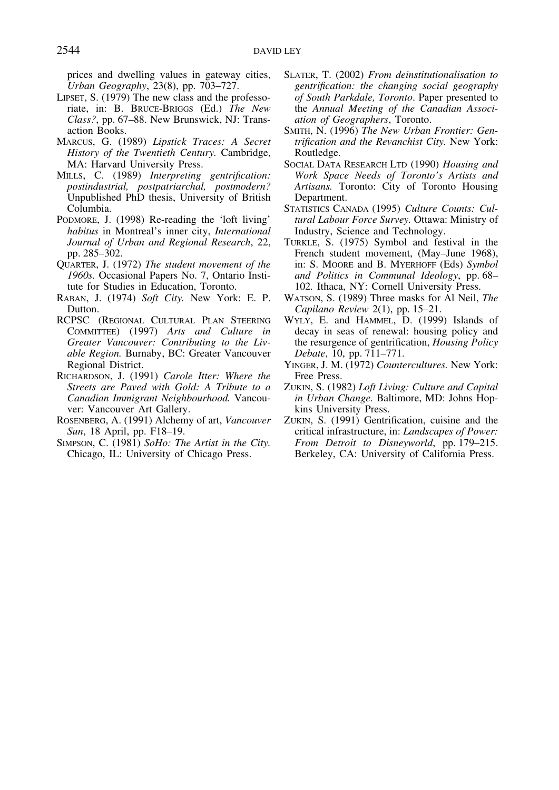prices and dwelling values in gateway cities, *Urban Geography*, 23(8), pp. 703–727.

- LIPSET, S. (1979) The new class and the professoriate, in: B. BRUCE-BRIGGS (Ed.) *The New Class?*, pp. 67–88. New Brunswick, NJ: Transaction Books.
- MARCUS, G. (1989) *Lipstick Traces: A Secret History of the Twentieth Century.* Cambridge, MA: Harvard University Press.
- MILLS, C. (1989) *Interpreting gentrification: postindustrial, postpatriarchal, postmodern?* Unpublished PhD thesis, University of British Columbia.
- PODMORE, J. (1998) Re-reading the 'loft living' *habitus* in Montreal's inner city, *International Journal of Urban and Regional Research*, 22, pp. 285–302.
- QUARTER, J. (1972) *The student movement of the 1960s.* Occasional Papers No. 7, Ontario Institute for Studies in Education, Toronto.
- RABAN, J. (1974) *Soft City.* New York: E. P. Dutton.
- RCPSC (REGIONAL CULTURAL PLAN STEERING COMMITTEE) (1997) *Arts and Culture in Greater Vancouver: Contributing to the Livable Region.* Burnaby, BC: Greater Vancouver Regional District.
- RICHARDSON, J. (1991) *Carole Itter: Where the Streets are Paved with Gold: A Tribute to a Canadian Immigrant Neighbourhood.* Vancouver: Vancouver Art Gallery.
- ROSENBERG, A. (1991) Alchemy of art, *Vancouver Sun*, 18 April, pp. F18–19.
- SIMPSON, C. (1981) *SoHo: The Artist in the City.* Chicago, IL: University of Chicago Press.
- SLATER, T. (2002) *From deinstitutionalisation to gentrification: the changing social geography of South Parkdale, Toronto*. Paper presented to the *Annual Meeting of the Canadian Association of Geographers*, Toronto.
- SMITH, N. (1996) *The New Urban Frontier: Gentrification and the Revanchist City.* New York: Routledge.
- SOCIAL DATA RESEARCH LTD (1990) *Housing and Work Space Needs of Toronto's Artists and Artisans.* Toronto: City of Toronto Housing Department.
- STATISTICS CANADA (1995) *Culture Counts: Cultural Labour Force Survey.* Ottawa: Ministry of Industry, Science and Technology.
- TURKLE, S. (1975) Symbol and festival in the French student movement, (May–June 1968), in: S. MOORE and B. MYERHOFF (Eds) *Symbol and Politics in Communal Ideology*, pp. 68– 102*.* Ithaca, NY: Cornell University Press.
- WATSON, S. (1989) Three masks for Al Neil, *The Capilano Review* 2(1), pp. 15–21.
- WYLY, E. and HAMMEL, D. (1999) Islands of decay in seas of renewal: housing policy and the resurgence of gentrification, *Housing Policy Debate*, 10, pp. 711–771.
- YINGER, J. M. (1972) *Countercultures.* New York: Free Press.
- ZUKIN, S. (1982) *Loft Living: Culture and Capital in Urban Change.* Baltimore, MD: Johns Hopkins University Press.
- ZUKIN, S. (1991) Gentrification, cuisine and the critical infrastructure, in: *Landscapes of Power: From Detroit to Disneyworld*, pp. 179–215. Berkeley, CA: University of California Press.